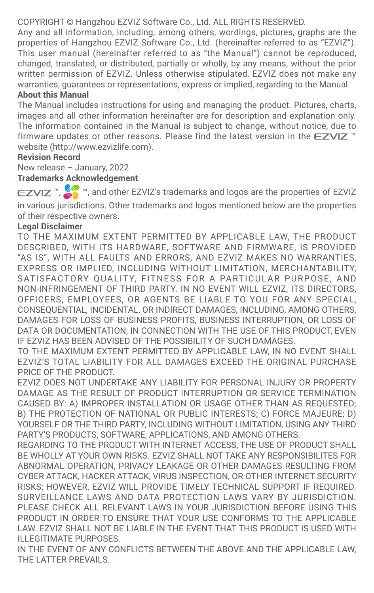COPYRIGHT © Hangzhou EZVIZ Software Co., Ltd. ALL RIGHTS RESERVED.

Any and all information, including, among others, wordings, pictures, graphs are the properties of Hangzhou EZVIZ Software Co., Ltd. (hereinafter referred to as "EZVIZ"). This user manual (hereinafter referred to as "the Manual") cannot be reproduced, changed, translated, or distributed, partially or wholly, by any means, without the prior written permission of EZVIZ. Unless otherwise stipulated, EZVIZ does not make any warranties, quarantees or representations, express or implied, regarding to the Manual

## **About this Manual**

The Manual includes instructions for using and managing the product. Pictures, charts, images and all other information hereinafter are for description and explanation only. The information contained in the Manual is subject to change, without notice, due to firmware updates or other reasons. Please find the latest version in the  $\epsilon$ - $\epsilon$ VI $\bar{z}$ <sup>n</sup> website (http://www.ezvizlife.com).

#### **Revision Record**

New release – January, 2022

## **Trademarks Acknowledgement**

EZVIZ<sup>™</sup>,  $\mathbb{Z}_n^{\mathbb{N}}$  ™, and other EZVIZ's trademarks and logos are the properties of EZVIZ in various jurisdictions. Other trademarks and logos mentioned below are the properties of their respective owners.

## **Legal Disclaimer**

TO THE MAXIMUM EXTENT PERMITTED BY APPLICABLE LAW, THE PRODUCT DESCRIBED, WITH ITS HARDWARE, SOFTWARE AND FIRMWARE, IS PROVIDED "AS IS", WITH ALL FAULTS AND ERRORS, AND EZVIZ MAKES NO WARRANTIES, EXPRESS OR IMPLIED, INCLUDING WITHOUT LIMITATION, MERCHANTABILITY, SATISFACTORY OUALITY, FITNESS FOR A PARTICULAR PURPOSE, AND NON-INFRINGEMENT OF THIRD PARTY. IN NO EVENT WILL EZVIZ, ITS DIRECTORS, OFFICERS, EMPLOYEES, OR AGENTS BE LIABLE TO YOU FOR ANY SPECIAL, CONSEQUENTIAL, INCIDENTAL, OR INDIRECT DAMAGES, INCLUDING, AMONG OTHERS, DAMAGES FOR LOSS OF BUSINESS PROFITS, BUSINESS INTERRUPTION, OR LOSS OF DATA OR DOCUMENTATION, IN CONNECTION WITH THE USE OF THIS PRODUCT, EVEN IF EZVIZ HAS BEEN ADVISED OF THE POSSIBILITY OF SUCH DAMAGES.

TO THE MAXIMUM EXTENT PERMITTED BY APPLICABLE LAW, IN NO EVENT SHALL EZVIZ'S TOTAL LIABILITY FOR ALL DAMAGES EXCEED THE ORIGINAL PURCHASE PRICE OF THE PRODUCT.

EZVIZ DOES NOT UNDERTAKE ANY LIABILITY FOR PERSONAL INJURY OR PROPERTY DAMAGE AS THE RESULT OF PRODUCT INTERRUPTION OR SERVICE TERMINATION CAUSED BY: A) IMPROPER INSTALLATION OR USAGE OTHER THAN AS REQUESTED; B) THE PROTECTION OF NATIONAL OR PUBLIC INTERESTS; C) FORCE MAJEURE; D) YOURSELF OR THE THIRD PARTY, INCLUDING WITHOUT LIMITATION, USING ANY THIRD PARTY'S PRODUCTS, SOFTWARE, APPLICATIONS, AND AMONG OTHERS.

REGARDING TO THE PRODUCT WITH INTERNET ACCESS, THE USE OF PRODUCT SHALL BE WHOLLY AT YOUR OWN RISKS. EZVIZ SHALL NOT TAKE ANY RESPONSIBILITES FOR ABNORMAL OPERATION, PRIVACY LEAKAGE OR OTHER DAMAGES RESULTING FROM CYBER ATTACK, HACKER ATTACK, VIRUS INSPECTION, OR OTHER INTERNET SECURITY RISKS; HOWEVER, EZVIZ WILL PROVIDE TIMELY TECHNICAL SUPPORT IF REQUIRED. SURVEILLANCE LAWS AND DATA PROTECTION LAWS VARY BY JURISDICTION. PLEASE CHECK ALL RELEVANT LAWS IN YOUR JURISDICTION BEFORE USING THIS PRODUCT IN ORDER TO ENSURE THAT YOUR USE CONFORMS TO THE APPLICABLE LAW. EZVIZ SHALL NOT BE LIABLE IN THE EVENT THAT THIS PRODUCT IS USED WITH ILLEGITIMATE PURPOSES.

IN THE EVENT OF ANY CONFLICTS BETWEEN THE ABOVE AND THE APPLICABLE LAW, THE LATTER PREVAILS.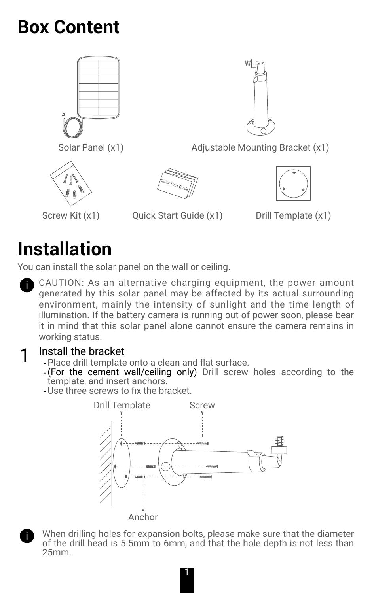# **Box Content**





Solar Panel (x1) Adjustable Mounting Bracket (x1)





- Screw Kit (x1) Quick Start Guide (x1) Drill Template (x1)
- 

# **Installation**

You can install the solar panel on the wall or ceiling.

CAUTION: As an alternative charging equipment, the power amount generated by this solar panel may be affected by its actual surrounding environment, mainly the intensity of sunlight and the time length of illumination. If the battery camera is running out of power soon, please bear it in mind that this solar panel alone cannot ensure the camera remains in working status.

- 1 Install the bracket -Place drill template onto a clean and flat surface.
	- -(For the cement wall/ceiling only) Drill screw holes according to the template, and insert anchors.
	- -Use three screws to fix the bracket.



When drilling holes for expansion bolts, please make sure that the diameter of the drill head is 5.5mm to 6mm, and that the hole depth is not less than 25mm.